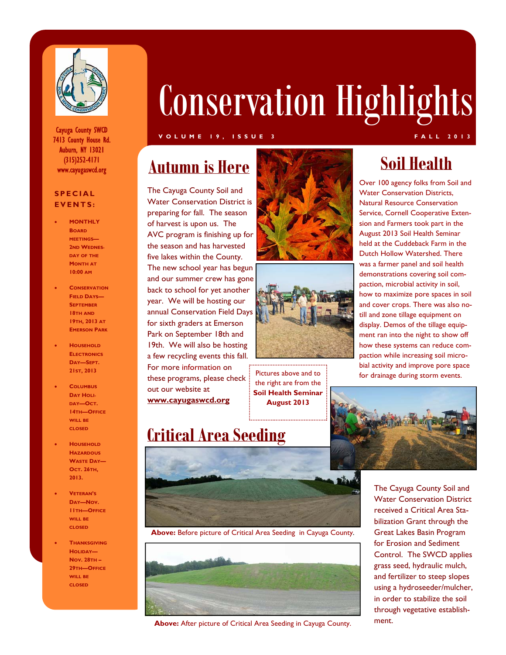

Cayuga County SWCD 7413 County House Rd. Auburn, NY 13021 (315)252-4171 www.cayugaswcd.org

#### **SPECIAL EVENTS:**

- **MONTHLY BOARD MEETINGS— 2ND WEDNES-DAY OF THE MONTH AT 10:00 AM**
- **CONSERVATION FIELD DAYS— SEPTEMBER 18TH AND 19TH, 2013 AT EMERSON PARK**
- **HOUSEHOLD ELECTRONICS DAY—SEPT. 21ST, 2013**
- **COLUMBUS DAY HOLI-DAY—OCT. 14TH—OFFICE WILL BE CLOSED**
- **HOUSEHOLD HAZARDOUS WASTE DAY— OCT. 26TH, 2013.**
- **VETERAN'S DAY—NOV. 11TH—OFFICE WILL BE CLOSED**
- **THANKSGIVING HOLIDAY— NOV. 28TH – 29TH—OFFICE WILL BE CLOSED**

# Conservation Highlights

#### **VOLUME 19, ISSUE 3 FALL 2013**

# **Autumn is Here**

The Cayuga County Soil and Water Conservation District is preparing for fall. The season of harvest is upon us. The AVC program is finishing up for the season and has harvested five lakes within the County. The new school year has begun and our summer crew has gone back to school for yet another year. We will be hosting our annual Conservation Field Days for sixth graders at Emerson Park on September 18th and 19th. We will also be hosting a few recycling events this fall. For more information on these programs, please check out our website at **www.cayugaswcd.org** 

**Critical Area Seeding** 





the right are from the **Soil Health Seminar August 2013**

## **Soil Health**

Over 100 agency folks from Soil and Water Conservation Districts, Natural Resource Conservation Service, Cornell Cooperative Extension and Farmers took part in the August 2013 Soil Health Seminar held at the Cuddeback Farm in the Dutch Hollow Watershed. There was a farmer panel and soil health demonstrations covering soil compaction, microbial activity in soil, how to maximize pore spaces in soil and cover crops. There was also notill and zone tillage equipment on display. Demos of the tillage equipment ran into the night to show off how these systems can reduce compaction while increasing soil microbial activity and improve pore space for drainage during storm events. Pictures above and to





**Above:** Before picture of Critical Area Seeding in Cayuga County.



**Above:** After picture of Critical Area Seeding in Cayuga County.

The Cayuga County Soil and Water Conservation District received a Critical Area Stabilization Grant through the Great Lakes Basin Program for Erosion and Sediment Control. The SWCD applies grass seed, hydraulic mulch, and fertilizer to steep slopes using a hydroseeder/mulcher, in order to stabilize the soil through vegetative establishment.